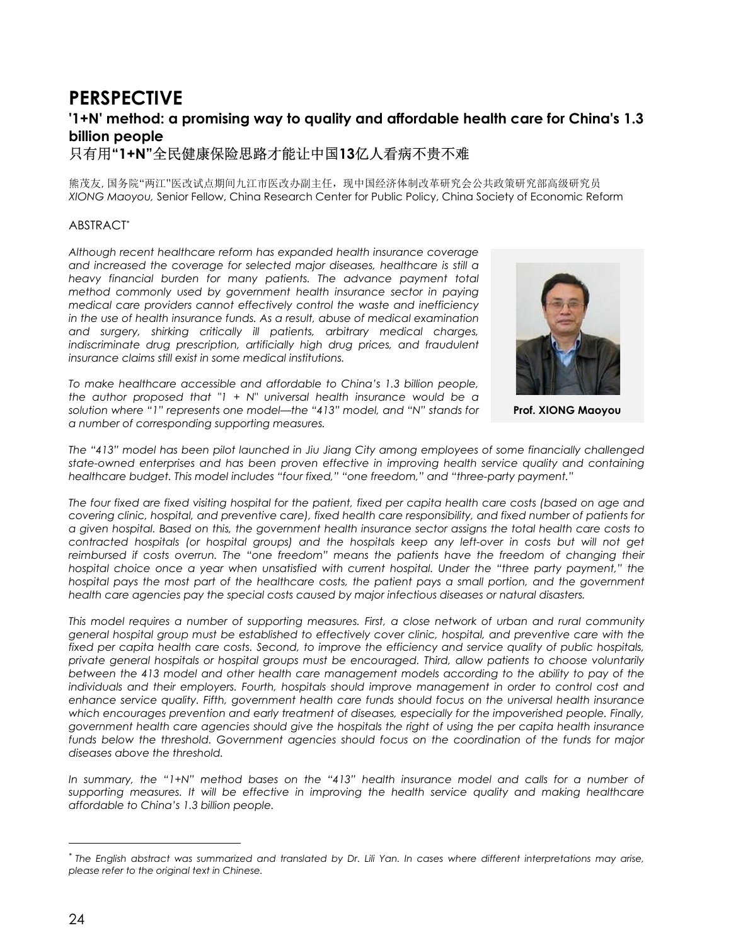# **PERSPECTIVE '1+N' method: a promising way to quality and affordable health care for China's 1.3 billion people**

只有用**"1+N"**全民健康保险思路才能让中国**13**亿人看病不贵不难

熊茂友, 国务院"两江"医改试点期间九江市医改办副主任, 现中国经济体制改革研究会公共政策研究部高级研究员 *XIONG Maoyou,* Senior Fellow, China Research Center for Public Policy, China Society of Economic Reform

# ABSTRACT*\**

*Although recent healthcare reform has expanded health insurance coverage and increased the coverage for selected major diseases, healthcare is still a heavy financial burden for many patients. The advance payment total method commonly used by government health insurance sector in paying medical care providers cannot effectively control the waste and inefficiency in the use of health insurance funds. As a result, abuse of medical examination and surgery, shirking critically ill patients, arbitrary medical charges, indiscriminate drug prescription, artificially high drug prices, and fraudulent insurance claims still exist in some medical institutions.*

*To make healthcare accessible and affordable to China's 1.3 billion people, the author proposed that "1 + N" universal health insurance would be a solution where "1" represents one model—the "413" model, and "N" stands for a number of corresponding supporting measures.*



**Prof. XIONG Maoyou**

*The "413" model has been pilot launched in Jiu Jiang City among employees of some financially challenged state-owned enterprises and has been proven effective in improving health service quality and containing healthcare budget. This model includes "four fixed," "one freedom," and "three-party payment."*

*The four fixed are fixed visiting hospital for the patient, fixed per capita health care costs (based on age and covering clinic, hospital, and preventive care), fixed health care responsibility, and fixed number of patients for a given hospital. Based on this, the government health insurance sector assigns the total health care costs to contracted hospitals (or hospital groups) and the hospitals keep any left-over in costs but will not get reimbursed if costs overrun. The "one freedom" means the patients have the freedom of changing their hospital choice once a year when unsatisfied with current hospital. Under the "three party payment," the hospital pays the most part of the healthcare costs, the patient pays a small portion, and the government health care agencies pay the special costs caused by major infectious diseases or natural disasters.*

*This model requires a number of supporting measures. First, a close network of urban and rural community general hospital group must be established to effectively cover clinic, hospital, and preventive care with the fixed per capita health care costs. Second, to improve the efficiency and service quality of public hospitals, private general hospitals or hospital groups must be encouraged. Third, allow patients to choose voluntarily between the 413 model and other health care management models according to the ability to pay of the individuals and their employers. Fourth, hospitals should improve management in order to control cost and enhance service quality. Fifth, government health care funds should focus on the universal health insurance* which encourages prevention and early treatment of diseases, especially for the impoverished people. Finally, *government health care agencies should give the hospitals the right of using the per capita health insurance funds below the threshold. Government agencies should focus on the coordination of the funds for major diseases above the threshold.*

*In summary, the "1+N" method bases on the "413" health insurance model and calls for a number of supporting measures. It will be effective in improving the health service quality and making healthcare affordable to China's 1.3 billion people.*

 $\overline{a}$ 

*<sup>\*</sup> The English abstract was summarized and translated by Dr. Lili Yan. In cases where different interpretations may arise, please refer to the original text in Chinese.*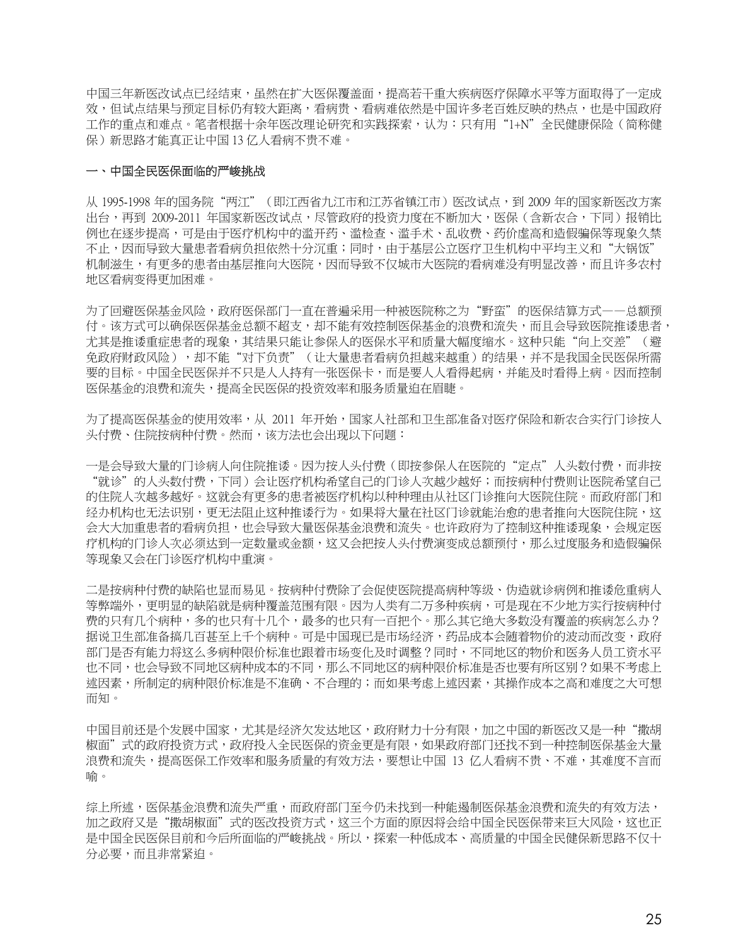中国三年新医改试点已经结束,虽然在扩大医保覆盖面,提高若干重大疾病医疗保障水平等方面取得了一定成 效,但试点结果与预定目标仍有较大距离,看病贵、看病难依然是中国许多老百姓反映的热点,也是中国政府 工作的重点和难点。笔者根据十余年医改理论研究和实践探索,认为:只有用"1+N"全民健康保险(简称健 保)新思路才能真正让中国 13 亿人看病不贵不难。

#### 一、中国全民医保面临的严峻挑战

从 1995-1998 年的国务院"两江"(即江西省九江市和江苏省镇江市)医改试点,到 2009 年的国家新医改方案 出台,再到 2009-2011 年国家新医改试点,尽管政府的投资力度在不断加大,医保(含新农合,下同)报销比 例也在逐步提高,可是由于医疗机构中的滥开药、滥检查、滥手术、乱收费、药价虚高和造假骗保等现象久禁 不止,因而导致大量患者看病负担依然十分沉重;同时,由于基层公立医疗卫生机构中平均主义和"大锅饭" 机制滋生,有更多的患者由基层推向大医院,因而导致不仅城市大医院的看病难没有明显改善,而且许多农村 地区看病变得更加困难。

为了回避医保基金风险,政府医保部门一直在普遍采用一种被医院称之为"野蛮"的医保结算方式——总额预 付。该方式可以确保医保基金总额不超支,却不能有效控制医保基金的浪费和流失,而且会导致医院推诿患者, 尤其是推诿重症患者的现象,其结果只能让参保人的医保水平和质量大幅度缩水。这种只能"向上交差"(避 免政府财政风险),却不能"对下负责"(让大量患者看病负担越来越重)的结果,并不是我国全民医保所需 要的目标。中国全民医保并不只是人人持有一张医保卡,而是要人人看得起病,并能及时看得上病。因而控制 **医保基金的浪费和流失,提高全民医保的投资效率和服务质量迫在眉睫**。

为了提高医保基金的使用效率,从 2011 年开始,国家人社部和卫生部准备对医疗保险和新农合实行门诊按人 头付费、住院按病种付费。然而,该方法也会出现以下问题:

一是会导致大量的门诊病人向住院推诿。因为按人头付费(即按参保人在医院的"定点"人头数付费,而非按 "就诊"的人头数付费,下同)会让医疗机构希望自己的门诊人次越少越好;而按病种付费则让医院希望自己 的住院人次越多越好。这就会有更多的患者被医疗机构以种种理由从社区门诊推向大医院住院。而政府部门和 经办机构也无法识别,更无法阻止这种推诿行为。如果将大量在社区门诊就能治愈的患者推向大医院住院,这 会大大加重患者的看病负担,也会导致大量医保基金浪费和流失。也许政府为了控制这种推诿现象,会规定医 疗机构的门诊人次必须达到一定数量或金额,这又会把按人头付费演变成总额预付,那么过度服务和造假骗保 等现象又会在门诊医疗机构中重演。

二是按病种付费的缺陷也显而易见。按病种付费除了会促使医院提高病种等级、伪造就诊病例和推诿危重病人 等弊端外,更明显的缺陷就是病种覆盖范围有限。因为人类有二万多种疾病,可是现在不少地方实行按病种付 费的只有几个病种,多的也只有一百把个。那么人的一个多数没有覆盖的疾病怎么办? 据说卫生部准备搞几百甚至上千个病种。可是中国现已是市场经济,药品成本会随着物价的波动而改变,政府 部门是否有能力将这么多病种限价标准也跟着市场变化及时调整?同时,不同地区的物价和医务人员工资水平 也不同,也会导致不同地区病种成本的不同,那么不同地区的病种限价标准是否也要有所区别?如果不考虑上 述因素,所制定的病种限价标准是不准确、不合理的;而如果考虑上述因素,其操作成本之高和难度之大可想 而知。

中国目前还是个发展中国家,尤其是经济欠发达地区,政府财力十分有限,加之中国的新医改又是一种"撒胡 椒面"式的政府投资方式,政府投入全民医保的资金更是有限,如果政府部门还找不到一种控制医保基金大量 浪费和流失,提高医保工作效率和服务质量的有效方法,要想让中国 13 亿人看病不贵、不难,其难度不言而 喻。

综上所述,医保基金浪费和流失严重,而政府部门至今仍未找到一种能遏制医保基金浪费和流失的有效方法, 加之政府又是"撒胡椒面"式的医改投资方式,这三个方面的原因将会给中国全民医保带来巨大风险,这也正 是中国全民医保目前和今后所面临的严峻挑战。所以,探索一种低成本、高质量的中国全民健保新思路不仅十 分必要,而且非常紧迫。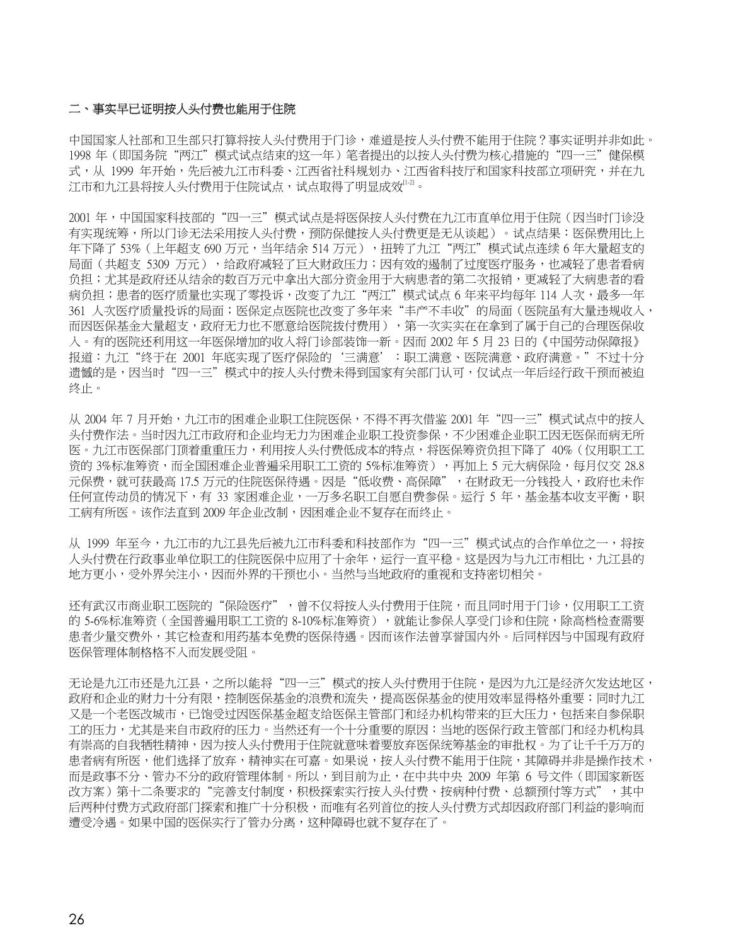#### 二、事实早已证明按人头付费也能用于住院

中国国家人社部和卫生部只打算将按人头付费用于门诊,难道是按人头付费不能用于住院?事实证明并非如此。 1998 年(即国务院"两江"模式试点结束的这一年)笔者提出的以按人头付费为核心措施的"四一三"健保模 式,从 1999 年开始,先后被九江市科委、江西省社科规划办、江西省科技厅和国家科技部立项研究,并在九 江市和九江县将按人头付费用于住院试点,试点取得了明显成效『『2』。

2001年,中国国家科技部的"四一三"模式试点是将医保按人头付费在九江市直单位用于住院(因当时门诊没 有实现统筹,所以门诊无法采用按人头付费,预防保健按人头付费更是无从谈起)。试点结果:医保费用比上 年下降了 53%(上年超支 690 万元,当年结余 514 万元),扭转了九江"两江"模式试点连续 6 年大量超支的 局面(共超支 5309 万元),给政府减轻了巨大财政压力;因有效的遏制了过度医疗服务,也减轻了患者看病 负担;尤其是政府还从结余的数百万元中拿出大部分资金用于大病患者的第二次报销,更减轻了大病患者的看 病负担;患者的医疗质量也实现了零投诉,改变了九江"两江"模式试点 6 年来平均每年 114 人次,最多一年 361 人次医疗质量投诉的局面;医保定点医院也改变了多年来"丰产不丰收"的局面(医院虽有大量违规收入, 而因医保基金大量超支,政府无力也不愿意给医院拨付费用),第一次实实在在拿到了属于自己的合理医保收 入。有的医院还利用这一年医保增加的收入将门诊部装饰一新。因而 2002 年 5 月 23 日的《中国劳动保障报》 报道:九江"终于在 2001 年底实现了医疗保险的'三满意':职工满意、医院满意、政府满意。"不过十分 遗憾的是,因当时"四一三"模式中的按人头付费未得到国家有关部门认可,仅试点一年后经行政干预而被迫 终止。

从 2004 年 7 月开始,九江市的困难企业职工住院医保,不得不再次借鉴 2001 年"四一三"模式试点中的按人 头付费作法。当时因九江市政府和企业均无力为困难企业职工投资参保,不少困难企业职工因无医保而病无所 医。九江市医保部门顶着重重压力,利用按人头付费低成本的特点,将医保筹资负担下降了 40%(仅用职工工 资的 3%标准筹资,而全国困难企业普遍采用职工工资的 5%标准筹资),再加上 5 元大病保险,每月仅交 28.8 元保费,就可获最高 17.5 万元的住院医保待遇。因是"低收费、高保障",在财政无一分钱投入,政府也未作 任何宣传动员的情况下,有 33 家困难企业,一万多名职工自愿自费参保。运行 5 年,基金基本收支平衡,职 工病有所医。该作法直到 2009 年企业改制,因困难企业不复存在而终止。

从 1999 年至今,九江市的九江县先后被九江市科委和科技部作为"四一三"模式试点的合作单位之一,将按 人头付费在行政事业单位职工的住院医保中应用了十余年,运行一直平稳。这是因为与九江市相比,九江县的 地方更小,受外界关注小,因而外界的干预也小。当然与当地政府的重视和支持密切相关。

还有武汉市商业职工医院的"保险医疗",曾不仅将按人头付费用于住院,而且同时用于门诊,仅用职工工资 的 5-6%标准筹资(全国普遍用职工工资的 8-10%标准筹资),就能让参保人享受门诊和住院,除高档检查需要 患者少量交费外,其它检查和用药基本免费的医保待遇。因而该作法曾享誉国内外。后同样因与中国现有政府 医保管理体制格格不入而发展受阻。

无论是九江市还是九江县,之所以能将"四一三"模式的按人头付费用于住院,是因为九江是经济欠发达地区, 政府和企业的财力十分有限,控制医保基金的浪费和流失,提高医保基金的使用效率显得格外重要;同时九江 又是一个老医改城市,已饱受过因医保基金超支给医保主管部门和经办机构带来的巨大压力,包括来自参保职 工的压力,尤其是来自市政府的压力。当然还有一个十分重要的原因:当地的医保行政主管部门和经办机构具 有崇高的自我牺牲精神,因为按人头付费用于住院就意味着要放弃医保统筹基金的审批权。为了让千千万万的 患者病有所医,他们选择了放弃,精神实在可嘉。如果说,按人头付费不能用于住院,其障碍并非是操作技术, 而是政事不分、管办不分的政府管理体制。所以,到目前为止,在中共中央 2009 年第 6 号文件(即国家新医 改方案)第十二条要求的"完善支付制度,积极探索实行按人头付费、按病种付费、总额预付等方式",其中 后两种付费方式政府部门探索和推广十分积极,而唯有名列首位的按人头付费方式却因政府部门利益的影响而 遭受冷遇。如果中国的医保实行了管办分离,这种障碍也就不复存在了。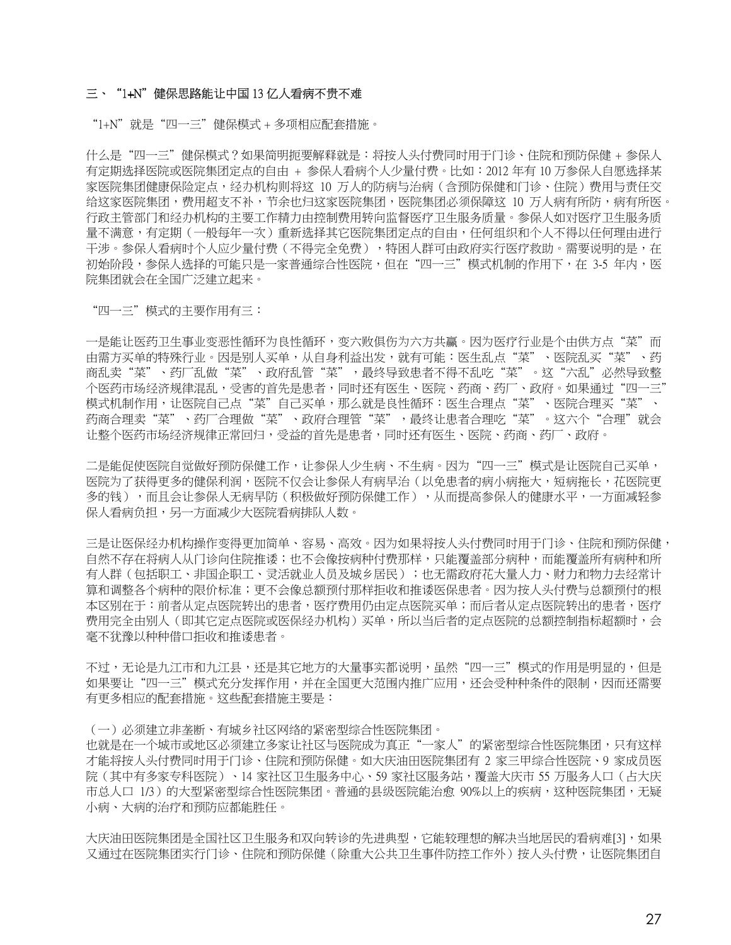### 三、"1+N"健保思路能让中国 13 亿人看病不贵不难

"1+N"就是"四一三"健保模式 + 多项相应配套措施。

什么是"四一三"健保模式?如果简明扼要解释就是:将按人头付费同时用于门诊、住院和预防保健 + 参保人 有定期选择医院或医院集团定点的自由 + 参保人看病个人少量付费。比如:2012 年有 10 万参保人自愿选择某 家医院集团健康保险定点,经办机构则将这 10 万人的防病与治病(含预防保健和门诊、住院)费用与责任交 给这家医院集团,费用超支不补,节余也归这家医院集团,医院集团必须保障这 10 万人病有所防,病有所医。 行政主管部门和经办机构的主要工作精力由控制费用转向监督医疗卫生服务质量。参保人如对医疗卫生服务质 量不满意,有定期(一般每年一次)重新选择其它医院集团定点的自由,任何组织和个人不得以任何理由进行 干涉。参保人看病时个人应少量付费(不得完全免费),特困人群可由政府实行医疗救助。需要说明的是,在 初始阶段,参保人洗择的可能只是一家普通综合性医院,但在"四一三"模式机制的作用下,在 3-5 年内,医 院集团就会在全国广泛建立起来。

"四一三"模式的主要作用有三:

一是能让医药卫生事业变恶性循环为良性循环,变六败俱伤为六方共赢。因为医疗行业是个由供方点"菜"而 由需方买单的特殊行业。因是别人买单,从自身利益出发,就有可能:医生乱点"菜"、医院乱买"菜"、药 商乱卖"菜"、药厂乱做"菜"、政府乱管"菜",最终导致患者不得不乱吃"菜"。这"六乱"必然导致整 个医药市场经济规律混乱,受害的首先是患者,同时还有医生、医院、药商、药厂、政府。如果通过"四一三" 模式机制作用,让医院自己点"菜"自己买单,那么就是良性循环:医生合理点"菜"、医院合理买"菜"、 药商合理卖"菜"、药厂合理做"菜"、政府合理管"菜",最终让患者合理吃"菜"。这六个"合理"就会 让整个医药市场经济规律正常回归,受益的首先是患者,同时还有医生、医院、药商、药厂、政府。

二是能促使医院自觉做好预防保健工作,让参保人少生病、不生病。因为"四一三"模式是让医院自己买单, 医院为了获得更多的健保利润,医院不仅会让参保人有病早治(以免患者的病小病拖大,短病拖长,花医院更 多的钱),而且会让参保人无病早防(积极做好预防保健工作),从而提高参保人的健康水平,一方面减轻参 保人看病负担,另一方面减少大医院看病排队人数。

三是让医保经办机构操作变得更加简单、容易、高效。因为如果将按人头付费同时用于门诊、住院和预防保健, 自然不存在将病人从门诊向住院推诿;也不会像按病种付费那样,只能覆盖部分病种,而能覆盖所有病种和所 有人群(包括职工、非国企职工、灵活就业人员及城乡居民);也无需政府花大量人力、财力和物力去经常计 算和调整各个病种的限价标准;更不会像总额预付那样拒收和推诿医保患者。因为按人头付费与总额预付的根 本区别在于:前者从定点医院转出的患者,医疗费用仍由定点医院买单;而后者从定点医院转出的患者,医疗 费用完全由别人(即其它定点医院或医保经办机构)买单,所以当后者的定点医院的总额控制指标超额时,会 毫不犹豫以种种借口拒收和推诿患者。

不过,无论是九江市和九江县,还是其它地方的大量事实都说明,虽然"四一三"模式的作用是明显的,但是 如果要让"四一三"模式充分发挥作用,并在全国更大范围内推广应用,还会受种种条件的限制,因而还需要 有更多相应的配套措施。这些配套措施主要是:

(一)必须建立非垄断、有城乡社区网络的紧密型综合性医院集团。

也就是在一个城市或地区必须建立多家让社区与医院成为真正"一家人"的紧密型综合性医院集团,只有这样 才能将按人头付费同时用于门诊、住院和预防保健。如大庆油田医院集团有 2 家三甲综合性医院、9 家成员医 院(其中有多家专科医院)、14 家社区卫生服务中心、59 家社区服务站,覆盖大庆市 55 万服务人口(占大庆 市总人口 1/3)的大型紧密型综合性医院集团。普通的县级医院能治愈 90%以上的疾病,这种医院集团,无疑 小病、大病的治疗和预防应都能胜任。

大庆油田医院集团是全国社区卫生服务和双向转诊的先进典型,它能较理想的解决当地居民的看病难[3],如果 又涌过在医院集团实行门诊、住院和预防保健(除重大公共卫生事件防控工作外)按人头付费,让医院集团自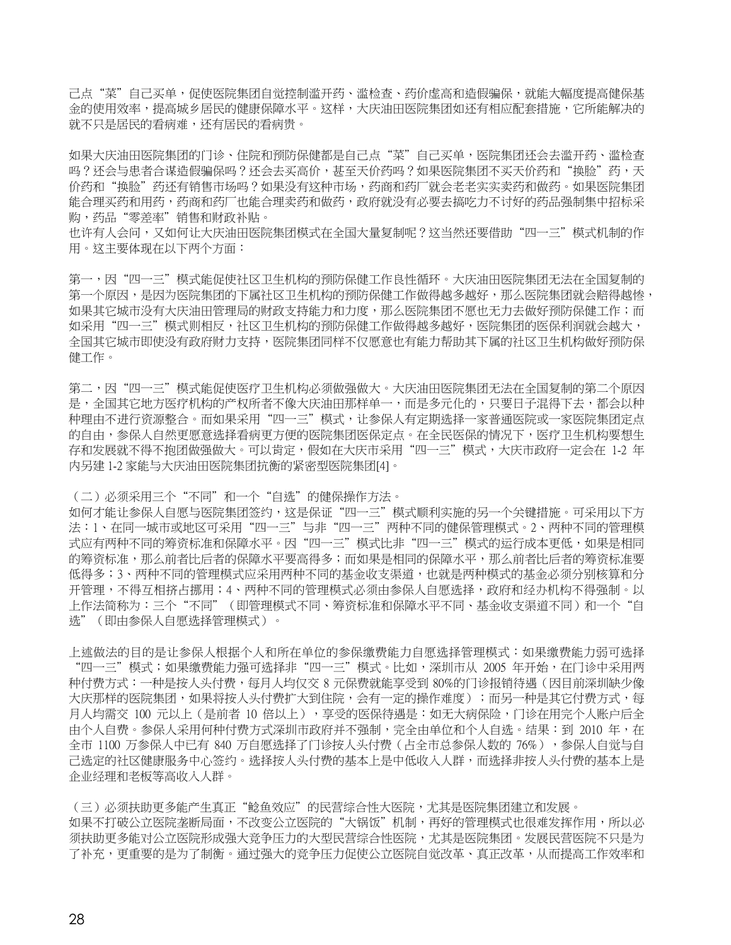己点"菜"自己买单,促使医院集团自觉控制滥开药、滥检查、药价虚高和造假骗保,就能大幅度提高健保基 金的使用效率,提高城乡居民的健康保障水平。这样,大庆油田医院集团如还有相应配套措施,它所能解决的 就不只是居民的看病就。

如果大庆油田医院集团的门诊、住院和预防保健都是自己点"菜"自己买单,医院集团还会去滥开药、滥检查 吗?还会与患者合谋造假骗保吗?还会去买高价,甚至天价药吗?如果医院集团不买天价药和"换脸"药,天 价药和"换脸"药还有销售市场吗?如果没有这种市场,药商和药厂就会老老实实卖药和做药。如果医院集团 能合理买药和用药,药商和药厂也能合理卖药和做药,政府就没有必要去搞吃力不讨好的药品强制集中招标采 购,药品"零差率"销售和财政补贴。

也许有人会问,又如何让大庆油田医院集团模式在全国大量复制呢?这当然还要借助"四一三"模式机制的作 用。这主要体现在以下两个方面:

第一,因"四一三"模式能促使社区卫生机构的预防保健工作良性循环。大庆油田医院集团无法在全国复制的 第一个原因,是因为医院集团的下属社区卫生机构的预防保健工作做得越多越好,那么医院集团就会赔得越惨, 如果其它城市没有大庆油田管理局的财政支持能力和力度,那么医院集团不愿也无力去做好预防保健工作;而 如采用"四一三"模式则相反,社区卫生机构的预防保健工作做得越多越好,医院集团的医保利润就会越大, 全国其它城市即使没有政府财力支持,医院集团同样不仅愿意也有能力帮助其下属的社区卫生机构做好预防保 健工作。

第二,因"四一三"模式能促使医疗卫生机构必须做强做大。大庆油田医院集团无法在全国复制的第二个原因 是,全国其它地方医疗机构的产权所者不像大庆油田那样单一,而是多元化的,只要日子混得下去,都会以种 种理由不进行资源整合。而如果采用"四一三"模式,让参保人有定期选择一家普通医院或一家医院集团定点 的自由,参保人自然更愿意选择看病更方便的医院集团医保定点。在全民医保的情况下,医疗卫生机构要想生 存和发展就不得不抱团做强做大。可以肯定,假如在大庆市采用"四一三"模式,大庆市政府一定会在 1-2 年 内另建 1-2 家能与大庆油田医院集团抗衡的紧密型医院集团[4]。

(二)必须采用三个"不同"和一个"自选"的健保操作方法。

如何才能让参保人自愿与医院集团签约,这是保证"四一三"模式顺利实施的另一个关键措施。可采用以下方 法:1、在同一城市或地区可采用"四一三"与非"四一三"两种不同的健保管理模式。2、两种不同的管理模 式应有两种不同的筹资标准和保障水平。因"四一三"模式比非"四一三"模式的运行成本更低,如果是相同 的筹资标准,那么前者比后者的保障水平要高得多;而如果是相同的保障水平,那么前者比后者的筹资标准要 低得多;3、两种不同的管理模式应采用两种不同的基金收支渠道,也就是两种模式的基金必须分别核算和分 开管理,不得互相挤占挪用;4、两种不同的管理模式必须由参保人自愿选择,政府和经办机构不得强制。以 上作法简称为:三个"不同"(即管理模式不同、筹资标准和保障水平不同、基金收支渠道不同)和一个"自 选"(即由参保人自愿选择管理模式)。

上述做法的目的是让参保人根据个人和所在单位的参保缴费能力自愿选择管理模式:如果缴费能力弱可选择 "四一三"模式;如果缴费能力强可选择非"四一三"模式。比如,深圳市从 2005 年开始,在门诊中采用两 种付费方式:一种是按人头付费,每月人均仅交 8 元保费就能享受到 80%的门诊报销待遇(因目前深圳缺少像 大庆那样的医院集团,如果将按人头付费扩大到住院,会有一定的操作难度);而另一种是其它付费方式,每 月人均需交 100 元以上(是前者 10 倍以上),享受的医保待遇是:如无大病保险,门诊在用完个人账户后全 由个人自费。参保人采用何种付费方式深圳市政府并不强制,完全由单位和个人自选。结果:到 2010 年,在 全市 1100 万参保人中已有 840 万自愿选择了门诊按人头付费(占全市总参保人数的 76%),参保人自觉与自 己选定的社区健康服务中心签约。选择按人头付费的基本上是中低收入人群,而选择非按人头付费的基本上是 企业经理和老板等高收入人群。

(三)必须扶助更多能产生真正"鲶鱼效应"的民营综合性大医院,尤其是医院集团建立和发展。 如果不打破公立医院垄断局面,不改变公立医院的"大锅饭"机制,再好的管理模式也很难发挥作用,所以必 须扶助更多能对公立医院形成强大竞争压力的大型民营综合性医院,尤其是医院集团。发展民营医院不只是为 了补充,更重要的是为了制衡。通过强大的竞争压力促使公立医院自觉改革、真正改革,从而提高工作效率和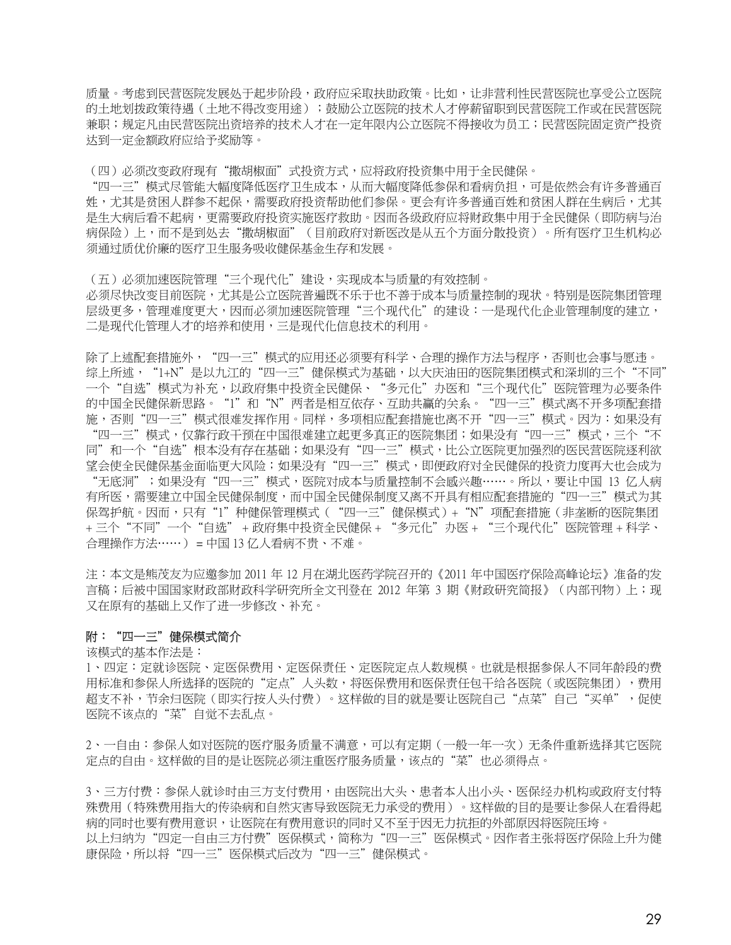质量。考虑到民营医院发展处于起步阶段,政府应采取扶助政策。比如,让非营利性民营医院也享受公立医院 的土地划拨政策待遇(土地不得改变用途);鼓励公立医院的技术人才停薪留职到民营医院工作或在民营医院 兼职;规定凡由民营医院出资培养的技术人才在一定年限内公立医院不得接收为员工;民营医院固定资产投资 达到一定金额政府应给予奖励等。

(四)必须改变政府现有"撒胡椒面"式投资方式,应将政府投资集中用于全民健保。

"四一三"模式尽管能大幅度降低医疗卫生成本,从而大幅度降低参保和看病负担,可是依然会有许多普通百 姓,尤其是贫困人群参不起保,需要政府投资帮助他们参保。更会有许多普通百姓和贫困人群在生病后,尤其 是生大病后看不起病,更需要政府投资实施医疗救助。因而各级政府应将财政集中用于全民健保(即防病与治 病保险)上,而不是到处去"撒胡椒面"(目前政府对新医改是从五个方面分散投资)。所有医疗卫生机构必 须通过质优价廉的医疗卫生服务吸收健保基金生存和发展。

(五)必须加速医院管理"三个现代化"建设,实现成本与质量的有效控制。 必须尽快改变目前医院,尤其是公立医院普遍既不乐于也不善于成本与质量控制的现状。特别是医院集团管理 层级更多,管理难度更大,因而必须加速医院管理"三个现代化"的建设:一是现代化企业管理制度的建立, 二是现代化管理人才的培养和使用,三是现代化信息技术的利用。

除了上述配套措施外,"四一三"模式的应用还必须要有科学、合理的操作方法与程序,否则也会事与愿违。 综上所述,"1+N"是以九江的"四一三"健保模式为基础,以大庆油田的医院集团模式和深圳的三个"不同" 一个"自选"模式为补充,以政府集中投资全民健保、"多元化"办医和"三个现代化"医院管理为必要条件 的中国全民健保新思路。"1"和"N"两者是相互依存、互助共赢的关系。"四一三"模式离不开多项配套措 施,否则"四一三"模式很难发挥作用。同样,多项相应配套措施也离不开"四一三"模式。因为:如果没有 "四一三"模式,仅靠行政干预在中国很难建立起更多真正的医院集团;如果没有"四一三"模式,三个"不 同"和一个"自选"根本没有存在基础;如果没有"四一三"模式,比公立医院更加强烈的医民营医院逐利欲 望会使全民健保基金面临更大风险;如果没有"四一三"模式,即便政府对全民健保的投资力度再大也会成为 "无底洞";如果没有"四一三"模式,医院对成本与质量控制不会感兴趣……。所以,要让中国 13 亿人病 有所医,需要建立中国全民健保部的全民健保制度又离不开具有相应配套措施的"四一三"模式为其 保驾护航。因而,只有"1"种健保管理模式("四一三"健保模式)+"N"项配套措施(非垄断的医院集团 + 三个"不同"一个"自选" + 政府集中投资全民健保 + "多元化"办医 + "三个现代化"医院管理 + 科学、 合理操作方法……) = 中国 13 亿人看病不贵、不难。

注:本文是熊茂友为应邀参加 2011 年 12 月在湖北医药学院召开的《2011 年中国医疗保险高峰论坛》准备的发 言稿;后被中国国家财政部财政科学研究所全文刊登在 2012 年第 3 期《财政研究简报》(内部刊物)上;现 又在原有的基础上又作了进一步修改、补充。

# 附:"四一三"健保模式简介

该模式的基本作法是:

1、四定:定就诊医院、定医保费用、定医保责任、定医院定点人数规模。也就是根据参保人不同年龄段的费 用标准和参保人所选择的医院的"定点"人头数,将医保费用和医保责任包干给各医院(或医院集团),费用 超支不补,节余归医院(即实行按人头付费)。这样做的目的就是要让医院自己"点菜"自己"买单",促使 医院不该点的"菜"自觉不去乱点。

2、一自由:参保人如对医院的医疗服务质量不满意,可以有定期(一般一年一次)无条件重新选择其它医院 定点的自由。这样做的目的是让医院必须注重医疗服务质量,该点的"菜"也必须得点。

3、三方付费:参保人就诊时由三方支付费用,由医院出大头、患者本人出小头、医保经办机构或政府支付特 殊费用(特殊费用指大的传染病和自然灾害导致医院无力承受的费用)。这样做的目的是要让参保人在看得起 病的同时也要有费用意识,让医院在有费用意识的同时又不至于因无力抗拒的外部原因将医院压垮。 以上归纳为"四定一自由三方付费"医保模式,简称为"四一三"医保模式。因作者主张将医疗保险上升为健 康保险,所以将"四一三"医保模式后改为"四一三"健保模式。